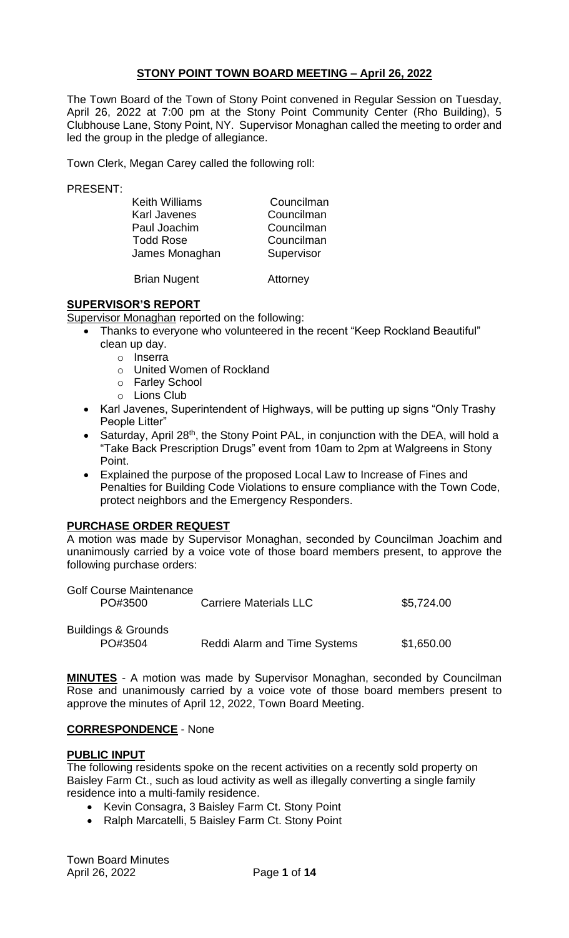### **STONY POINT TOWN BOARD MEETING – April 26, 2022**

The Town Board of the Town of Stony Point convened in Regular Session on Tuesday, April 26, 2022 at 7:00 pm at the Stony Point Community Center (Rho Building), 5 Clubhouse Lane, Stony Point, NY. Supervisor Monaghan called the meeting to order and led the group in the pledge of allegiance.

Town Clerk, Megan Carey called the following roll:

PRESENT:

| <b>Keith Williams</b> | Councilman |
|-----------------------|------------|
| <b>Karl Javenes</b>   | Councilman |
| Paul Joachim          | Councilman |
| <b>Todd Rose</b>      | Councilman |
| James Monaghan        | Supervisor |
|                       |            |

Brian Nugent **Attorney** 

### **SUPERVISOR'S REPORT**

Supervisor Monaghan reported on the following:

- Thanks to everyone who volunteered in the recent "Keep Rockland Beautiful" clean up day.
	- o Inserra
	- o United Women of Rockland
	- o Farley School
	- o Lions Club
- Karl Javenes, Superintendent of Highways, will be putting up signs "Only Trashy People Litter"
- Saturday, April 28<sup>th</sup>, the Stony Point PAL, in conjunction with the DEA, will hold a "Take Back Prescription Drugs" event from 10am to 2pm at Walgreens in Stony Point.
- Explained the purpose of the proposed Local Law to Increase of Fines and Penalties for Building Code Violations to ensure compliance with the Town Code, protect neighbors and the Emergency Responders.

### **PURCHASE ORDER REQUEST**

A motion was made by Supervisor Monaghan, seconded by Councilman Joachim and unanimously carried by a voice vote of those board members present, to approve the following purchase orders:

| <b>Golf Course Maintenance</b> |                                     |            |
|--------------------------------|-------------------------------------|------------|
| PO#3500                        | <b>Carriere Materials LLC</b>       | \$5,724.00 |
|                                |                                     |            |
| <b>Buildings &amp; Grounds</b> |                                     |            |
| PO#3504                        | <b>Reddi Alarm and Time Systems</b> | \$1,650.00 |

**MINUTES** - A motion was made by Supervisor Monaghan, seconded by Councilman Rose and unanimously carried by a voice vote of those board members present to approve the minutes of April 12, 2022, Town Board Meeting.

### **CORRESPONDENCE** - None

### **PUBLIC INPUT**

The following residents spoke on the recent activities on a recently sold property on Baisley Farm Ct., such as loud activity as well as illegally converting a single family residence into a multi-family residence.

- Kevin Consagra, 3 Baisley Farm Ct. Stony Point
- Ralph Marcatelli, 5 Baisley Farm Ct. Stony Point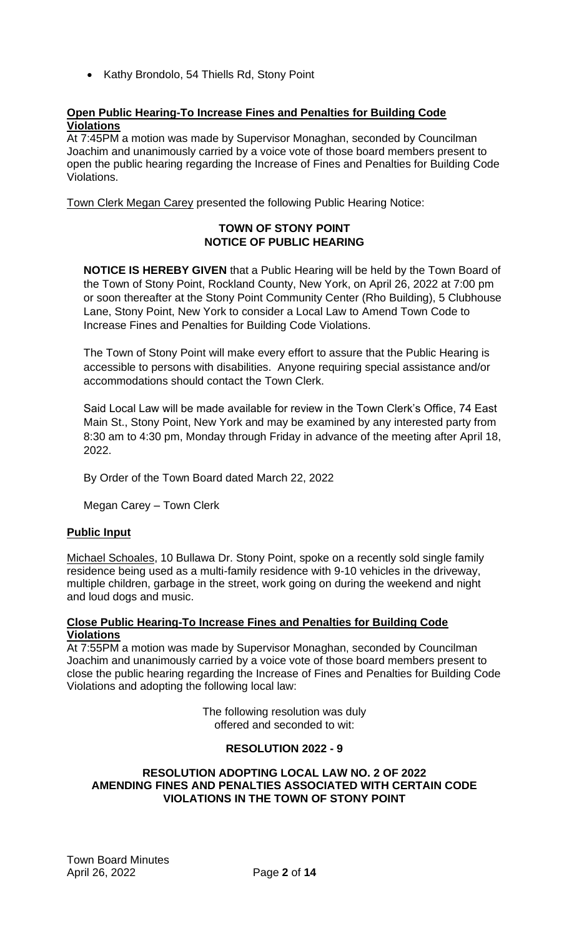• Kathy Brondolo, 54 Thiells Rd, Stony Point

## **Open Public Hearing-To Increase Fines and Penalties for Building Code Violations**

At 7:45PM a motion was made by Supervisor Monaghan, seconded by Councilman Joachim and unanimously carried by a voice vote of those board members present to open the public hearing regarding the Increase of Fines and Penalties for Building Code Violations.

Town Clerk Megan Carey presented the following Public Hearing Notice:

## **TOWN OF STONY POINT NOTICE OF PUBLIC HEARING**

**NOTICE IS HEREBY GIVEN** that a Public Hearing will be held by the Town Board of the Town of Stony Point, Rockland County, New York, on April 26, 2022 at 7:00 pm or soon thereafter at the Stony Point Community Center (Rho Building), 5 Clubhouse Lane, Stony Point, New York to consider a Local Law to Amend Town Code to Increase Fines and Penalties for Building Code Violations.

The Town of Stony Point will make every effort to assure that the Public Hearing is accessible to persons with disabilities. Anyone requiring special assistance and/or accommodations should contact the Town Clerk.

Said Local Law will be made available for review in the Town Clerk's Office, 74 East Main St., Stony Point, New York and may be examined by any interested party from 8:30 am to 4:30 pm, Monday through Friday in advance of the meeting after April 18, 2022.

By Order of the Town Board dated March 22, 2022

Megan Carey – Town Clerk

## **Public Input**

Michael Schoales, 10 Bullawa Dr. Stony Point, spoke on a recently sold single family residence being used as a multi-family residence with 9-10 vehicles in the driveway, multiple children, garbage in the street, work going on during the weekend and night and loud dogs and music.

### **Close Public Hearing-To Increase Fines and Penalties for Building Code Violations**

At 7:55PM a motion was made by Supervisor Monaghan, seconded by Councilman Joachim and unanimously carried by a voice vote of those board members present to close the public hearing regarding the Increase of Fines and Penalties for Building Code Violations and adopting the following local law:

> The following resolution was duly offered and seconded to wit:

## **RESOLUTION 2022 - 9**

#### **RESOLUTION ADOPTING LOCAL LAW NO. 2 OF 2022 AMENDING FINES AND PENALTIES ASSOCIATED WITH CERTAIN CODE VIOLATIONS IN THE TOWN OF STONY POINT**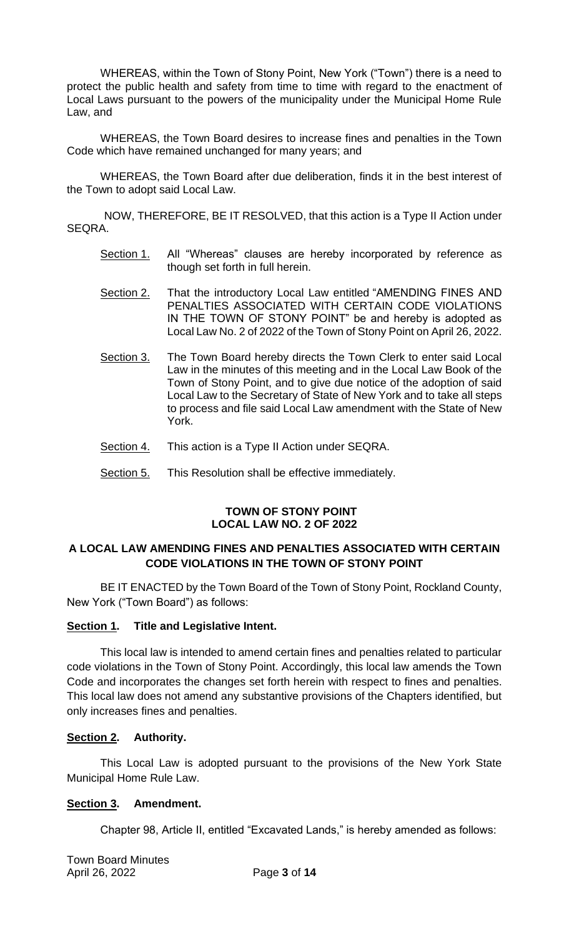WHEREAS, within the Town of Stony Point, New York ("Town") there is a need to protect the public health and safety from time to time with regard to the enactment of Local Laws pursuant to the powers of the municipality under the Municipal Home Rule Law, and

WHEREAS, the Town Board desires to increase fines and penalties in the Town Code which have remained unchanged for many years; and

WHEREAS, the Town Board after due deliberation, finds it in the best interest of the Town to adopt said Local Law.

 NOW, THEREFORE, BE IT RESOLVED, that this action is a Type II Action under SEQRA.

- Section 1. All "Whereas" clauses are hereby incorporated by reference as though set forth in full herein.
- Section 2. That the introductory Local Law entitled "AMENDING FINES AND PENALTIES ASSOCIATED WITH CERTAIN CODE VIOLATIONS IN THE TOWN OF STONY POINT" be and hereby is adopted as Local Law No. 2 of 2022 of the Town of Stony Point on April 26, 2022.
- Section 3. The Town Board hereby directs the Town Clerk to enter said Local Law in the minutes of this meeting and in the Local Law Book of the Town of Stony Point, and to give due notice of the adoption of said Local Law to the Secretary of State of New York and to take all steps to process and file said Local Law amendment with the State of New York.
- Section 4. This action is a Type II Action under SEQRA.
- Section 5. This Resolution shall be effective immediately.

### **TOWN OF STONY POINT LOCAL LAW NO. 2 OF 2022**

### **A LOCAL LAW AMENDING FINES AND PENALTIES ASSOCIATED WITH CERTAIN CODE VIOLATIONS IN THE TOWN OF STONY POINT**

BE IT ENACTED by the Town Board of the Town of Stony Point, Rockland County, New York ("Town Board") as follows:

### **Section 1. Title and Legislative Intent.**

This local law is intended to amend certain fines and penalties related to particular code violations in the Town of Stony Point. Accordingly, this local law amends the Town Code and incorporates the changes set forth herein with respect to fines and penalties. This local law does not amend any substantive provisions of the Chapters identified, but only increases fines and penalties.

### **Section 2. Authority.**

This Local Law is adopted pursuant to the provisions of the New York State Municipal Home Rule Law.

### **Section 3. Amendment.**

Chapter 98, Article II, entitled "Excavated Lands," is hereby amended as follows: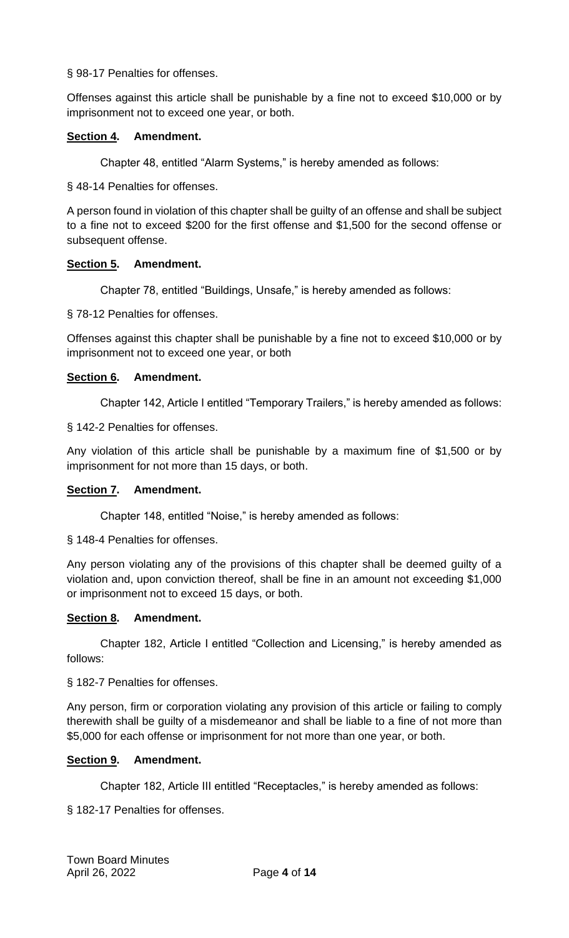### § 98-17 Penalties for offenses.

Offenses against this article shall be punishable by a fine not to exceed \$10,000 or by imprisonment not to exceed one year, or both.

### **Section 4. Amendment.**

Chapter 48, entitled "Alarm Systems," is hereby amended as follows:

§ 48-14 Penalties for offenses.

A person found in violation of this chapter shall be guilty of an offense and shall be subject to a fine not to exceed \$200 for the first offense and \$1,500 for the second offense or subsequent offense.

### **Section 5. Amendment.**

Chapter 78, entitled "Buildings, Unsafe," is hereby amended as follows:

§ 78-12 Penalties for offenses.

Offenses against this chapter shall be punishable by a fine not to exceed \$10,000 or by imprisonment not to exceed one year, or both

### **Section 6. Amendment.**

Chapter 142, Article I entitled "Temporary Trailers," is hereby amended as follows:

§ 142-2 Penalties for offenses.

Any violation of this article shall be punishable by a maximum fine of \$1,500 or by imprisonment for not more than 15 days, or both.

### **Section 7. Amendment.**

Chapter 148, entitled "Noise," is hereby amended as follows:

§ 148-4 Penalties for offenses.

Any person violating any of the provisions of this chapter shall be deemed guilty of a violation and, upon conviction thereof, shall be fine in an amount not exceeding \$1,000 or imprisonment not to exceed 15 days, or both.

### **Section 8. Amendment.**

Chapter 182, Article I entitled "Collection and Licensing," is hereby amended as follows:

§ 182-7 Penalties for offenses.

Any person, firm or corporation violating any provision of this article or failing to comply therewith shall be guilty of a misdemeanor and shall be liable to a fine of not more than \$5,000 for each offense or imprisonment for not more than one year, or both.

## **Section 9. Amendment.**

Chapter 182, Article III entitled "Receptacles," is hereby amended as follows:

§ 182-17 Penalties for offenses.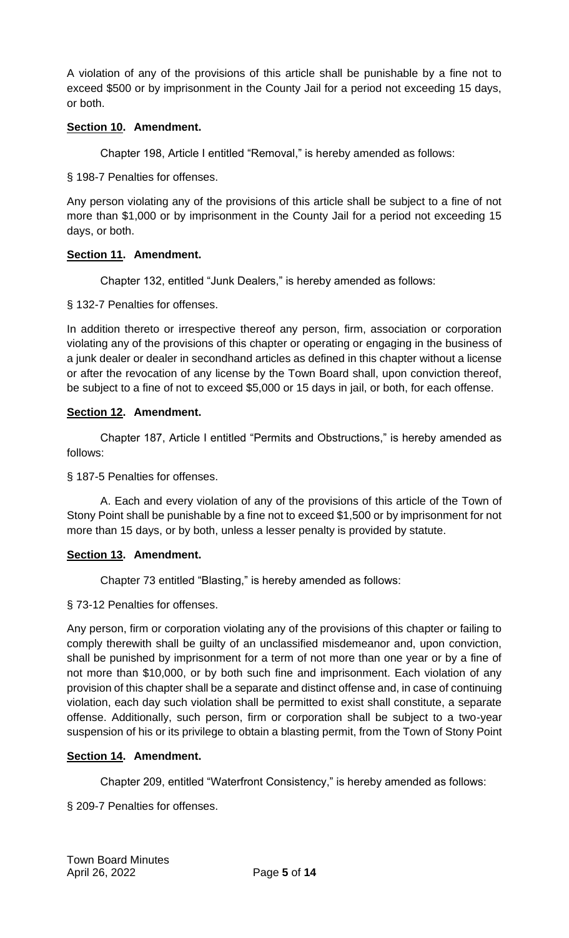A violation of any of the provisions of this article shall be punishable by a fine not to exceed \$500 or by imprisonment in the County Jail for a period not exceeding 15 days, or both.

## **Section 10. Amendment.**

Chapter 198, Article I entitled "Removal," is hereby amended as follows:

§ 198-7 Penalties for offenses.

Any person violating any of the provisions of this article shall be subject to a fine of not more than \$1,000 or by imprisonment in the County Jail for a period not exceeding 15 days, or both.

# **Section 11. Amendment.**

Chapter 132, entitled "Junk Dealers," is hereby amended as follows:

§ 132-7 Penalties for offenses.

In addition thereto or irrespective thereof any person, firm, association or corporation violating any of the provisions of this chapter or operating or engaging in the business of a junk dealer or dealer in secondhand articles as defined in this chapter without a license or after the revocation of any license by the Town Board shall, upon conviction thereof, be subject to a fine of not to exceed \$5,000 or 15 days in jail, or both, for each offense.

# **Section 12. Amendment.**

Chapter 187, Article I entitled "Permits and Obstructions," is hereby amended as follows:

§ 187-5 Penalties for offenses.

A. Each and every violation of any of the provisions of this article of the Town of Stony Point shall be punishable by a fine not to exceed \$1,500 or by imprisonment for not more than 15 days, or by both, unless a lesser penalty is provided by statute.

## **Section 13. Amendment.**

Chapter 73 entitled "Blasting," is hereby amended as follows:

§ 73-12 Penalties for offenses.

Any person, firm or corporation violating any of the provisions of this chapter or failing to comply therewith shall be guilty of an unclassified misdemeanor and, upon conviction, shall be punished by imprisonment for a term of not more than one year or by a fine of not more than \$10,000, or by both such fine and imprisonment. Each violation of any provision of this chapter shall be a separate and distinct offense and, in case of continuing violation, each day such violation shall be permitted to exist shall constitute, a separate offense. Additionally, such person, firm or corporation shall be subject to a two-year suspension of his or its privilege to obtain a blasting permit, from the Town of Stony Point

## **Section 14. Amendment.**

Chapter 209, entitled "Waterfront Consistency," is hereby amended as follows:

§ 209-7 Penalties for offenses.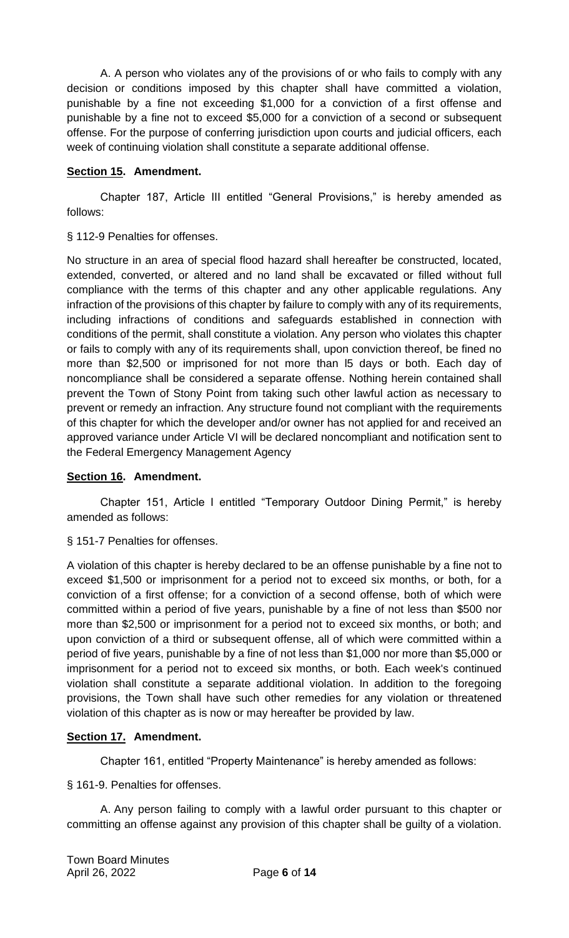A. A person who violates any of the provisions of or who fails to comply with any decision or conditions imposed by this chapter shall have committed a violation, punishable by a fine not exceeding \$1,000 for a conviction of a first offense and punishable by a fine not to exceed \$5,000 for a conviction of a second or subsequent offense. For the purpose of conferring jurisdiction upon courts and judicial officers, each week of continuing violation shall constitute a separate additional offense.

## **Section 15. Amendment.**

Chapter 187, Article III entitled "General Provisions," is hereby amended as follows:

§ 112-9 Penalties for offenses.

No structure in an area of special flood hazard shall hereafter be constructed, located, extended, converted, or altered and no land shall be excavated or filled without full compliance with the terms of this chapter and any other applicable regulations. Any infraction of the provisions of this chapter by failure to comply with any of its requirements, including infractions of conditions and safeguards established in connection with conditions of the permit, shall constitute a violation. Any person who violates this chapter or fails to comply with any of its requirements shall, upon conviction thereof, be fined no more than \$2,500 or imprisoned for not more than l5 days or both. Each day of noncompliance shall be considered a separate offense. Nothing herein contained shall prevent the Town of Stony Point from taking such other lawful action as necessary to prevent or remedy an infraction. Any structure found not compliant with the requirements of this chapter for which the developer and/or owner has not applied for and received an approved variance under Article VI will be declared noncompliant and notification sent to the Federal Emergency Management Agency

## **Section 16. Amendment.**

Chapter 151, Article I entitled "Temporary Outdoor Dining Permit," is hereby amended as follows:

§ 151-7 Penalties for offenses.

A violation of this chapter is hereby declared to be an offense punishable by a fine not to exceed \$1,500 or imprisonment for a period not to exceed six months, or both, for a conviction of a first offense; for a conviction of a second offense, both of which were committed within a period of five years, punishable by a fine of not less than \$500 nor more than \$2,500 or imprisonment for a period not to exceed six months, or both; and upon conviction of a third or subsequent offense, all of which were committed within a period of five years, punishable by a fine of not less than \$1,000 nor more than \$5,000 or imprisonment for a period not to exceed six months, or both. Each week's continued violation shall constitute a separate additional violation. In addition to the foregoing provisions, the Town shall have such other remedies for any violation or threatened violation of this chapter as is now or may hereafter be provided by law.

## **Section 17. Amendment.**

Chapter 161, entitled "Property Maintenance" is hereby amended as follows:

§ 161-9. Penalties for offenses.

A. Any person failing to comply with a lawful order pursuant to this chapter or committing an offense against any provision of this chapter shall be guilty of a violation.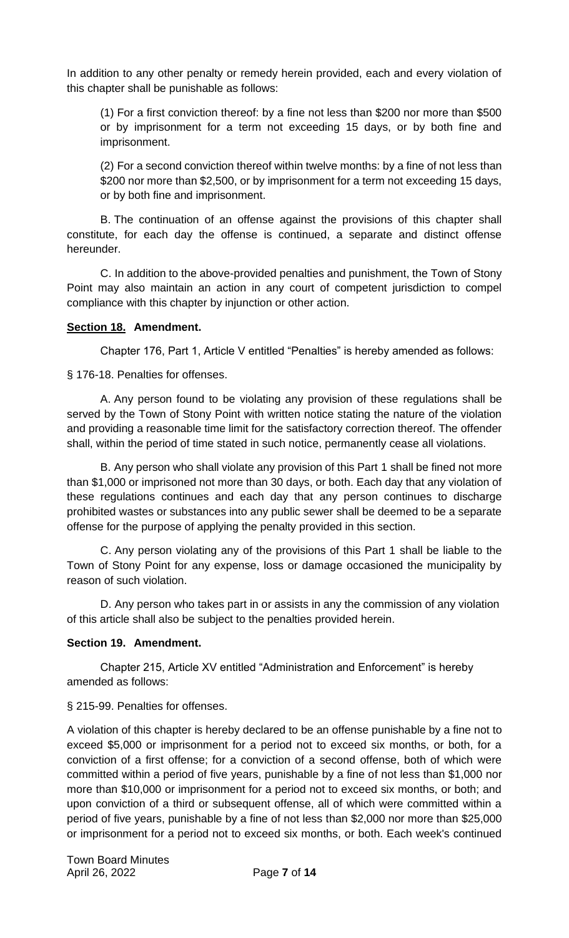In addition to any other penalty or remedy herein provided, each and every violation of this chapter shall be punishable as follows:

(1) For a first conviction thereof: by a fine not less than \$200 nor more than \$500 or by imprisonment for a term not exceeding 15 days, or by both fine and imprisonment.

(2) For a second conviction thereof within twelve months: by a fine of not less than \$200 nor more than \$2,500, or by imprisonment for a term not exceeding 15 days, or by both fine and imprisonment.

B. The continuation of an offense against the provisions of this chapter shall constitute, for each day the offense is continued, a separate and distinct offense hereunder.

C. In addition to the above-provided penalties and punishment, the Town of Stony Point may also maintain an action in any court of competent jurisdiction to compel compliance with this chapter by injunction or other action.

### **Section 18. Amendment.**

Chapter 176, Part 1, Article V entitled "Penalties" is hereby amended as follows:

§ 176-18. Penalties for offenses.

A. Any person found to be violating any provision of these regulations shall be served by the Town of Stony Point with written notice stating the nature of the violation and providing a reasonable time limit for the satisfactory correction thereof. The offender shall, within the period of time stated in such notice, permanently cease all violations.

B. Any person who shall violate any provision of this Part 1 shall be fined not more than \$1,000 or imprisoned not more than 30 days, or both. Each day that any violation of these regulations continues and each day that any person continues to discharge prohibited wastes or substances into any public sewer shall be deemed to be a separate offense for the purpose of applying the penalty provided in this section.

C. Any person violating any of the provisions of this Part 1 shall be liable to the Town of Stony Point for any expense, loss or damage occasioned the municipality by reason of such violation.

D. Any person who takes part in or assists in any the commission of any violation of this article shall also be subject to the penalties provided herein.

### **Section 19. Amendment.**

Chapter 215, Article XV entitled "Administration and Enforcement" is hereby amended as follows:

### § 215-99. Penalties for offenses.

A violation of this chapter is hereby declared to be an offense punishable by a fine not to exceed \$5,000 or imprisonment for a period not to exceed six months, or both, for a conviction of a first offense; for a conviction of a second offense, both of which were committed within a period of five years, punishable by a fine of not less than \$1,000 nor more than \$10,000 or imprisonment for a period not to exceed six months, or both; and upon conviction of a third or subsequent offense, all of which were committed within a period of five years, punishable by a fine of not less than \$2,000 nor more than \$25,000 or imprisonment for a period not to exceed six months, or both. Each week's continued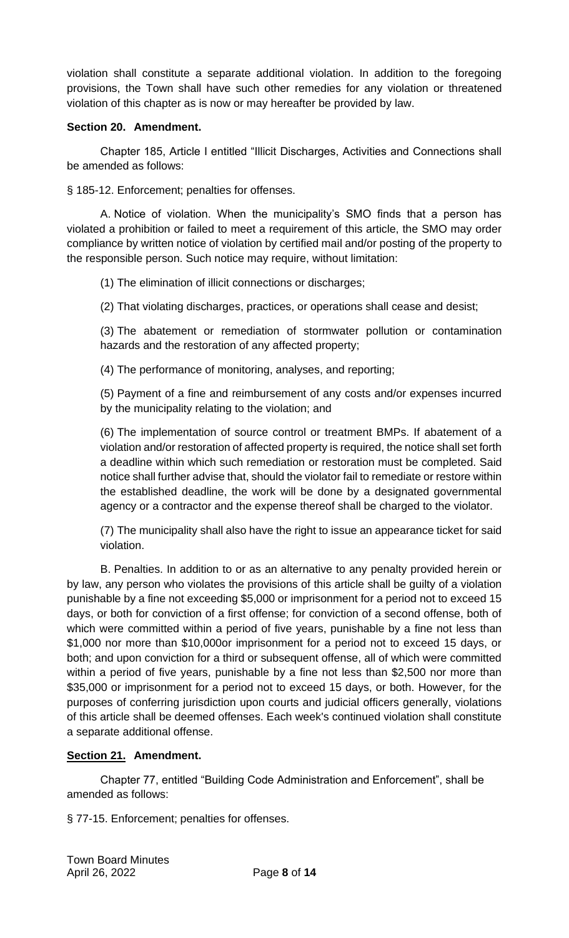violation shall constitute a separate additional violation. In addition to the foregoing provisions, the Town shall have such other remedies for any violation or threatened violation of this chapter as is now or may hereafter be provided by law.

### **Section 20. Amendment.**

Chapter 185, Article I entitled "Illicit Discharges, Activities and Connections shall be amended as follows:

§ 185-12. Enforcement; penalties for offenses.

A. Notice of violation. When the municipality's SMO finds that a person has violated a prohibition or failed to meet a requirement of this article, the SMO may order compliance by written notice of violation by certified mail and/or posting of the property to the responsible person. Such notice may require, without limitation:

(1) The elimination of illicit connections or discharges;

(2) That violating discharges, practices, or operations shall cease and desist;

(3) The abatement or remediation of stormwater pollution or contamination hazards and the restoration of any affected property;

(4) The performance of monitoring, analyses, and reporting;

(5) Payment of a fine and reimbursement of any costs and/or expenses incurred by the municipality relating to the violation; and

(6) The implementation of source control or treatment BMPs. If abatement of a violation and/or restoration of affected property is required, the notice shall set forth a deadline within which such remediation or restoration must be completed. Said notice shall further advise that, should the violator fail to remediate or restore within the established deadline, the work will be done by a designated governmental agency or a contractor and the expense thereof shall be charged to the violator.

(7) The municipality shall also have the right to issue an appearance ticket for said violation.

B. Penalties. In addition to or as an alternative to any penalty provided herein or by law, any person who violates the provisions of this article shall be guilty of a violation punishable by a fine not exceeding \$5,000 or imprisonment for a period not to exceed 15 days, or both for conviction of a first offense; for conviction of a second offense, both of which were committed within a period of five years, punishable by a fine not less than \$1,000 nor more than \$10,000or imprisonment for a period not to exceed 15 days, or both; and upon conviction for a third or subsequent offense, all of which were committed within a period of five years, punishable by a fine not less than \$2,500 nor more than \$35,000 or imprisonment for a period not to exceed 15 days, or both. However, for the purposes of conferring jurisdiction upon courts and judicial officers generally, violations of this article shall be deemed offenses. Each week's continued violation shall constitute a separate additional offense.

## **Section 21. Amendment.**

Chapter 77, entitled "Building Code Administration and Enforcement", shall be amended as follows:

§ 77-15. Enforcement; penalties for offenses.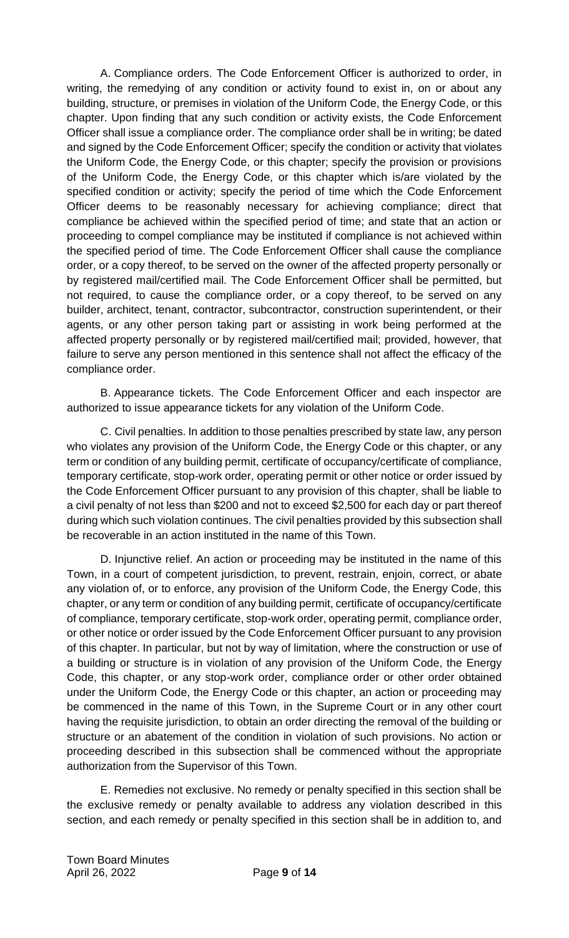A. Compliance orders. The Code Enforcement Officer is authorized to order, in writing, the remedying of any condition or activity found to exist in, on or about any building, structure, or premises in violation of the Uniform Code, the Energy Code, or this chapter. Upon finding that any such condition or activity exists, the Code Enforcement Officer shall issue a compliance order. The compliance order shall be in writing; be dated and signed by the Code Enforcement Officer; specify the condition or activity that violates the Uniform Code, the Energy Code, or this chapter; specify the provision or provisions of the Uniform Code, the Energy Code, or this chapter which is/are violated by the specified condition or activity; specify the period of time which the Code Enforcement Officer deems to be reasonably necessary for achieving compliance; direct that compliance be achieved within the specified period of time; and state that an action or proceeding to compel compliance may be instituted if compliance is not achieved within the specified period of time. The Code Enforcement Officer shall cause the compliance order, or a copy thereof, to be served on the owner of the affected property personally or by registered mail/certified mail. The Code Enforcement Officer shall be permitted, but not required, to cause the compliance order, or a copy thereof, to be served on any builder, architect, tenant, contractor, subcontractor, construction superintendent, or their agents, or any other person taking part or assisting in work being performed at the affected property personally or by registered mail/certified mail; provided, however, that failure to serve any person mentioned in this sentence shall not affect the efficacy of the compliance order.

B. Appearance tickets. The Code Enforcement Officer and each inspector are authorized to issue appearance tickets for any violation of the Uniform Code.

C. Civil penalties. In addition to those penalties prescribed by state law, any person who violates any provision of the Uniform Code, the Energy Code or this chapter, or any term or condition of any building permit, certificate of occupancy/certificate of compliance, temporary certificate, stop-work order, operating permit or other notice or order issued by the Code Enforcement Officer pursuant to any provision of this chapter, shall be liable to a civil penalty of not less than \$200 and not to exceed \$2,500 for each day or part thereof during which such violation continues. The civil penalties provided by this subsection shall be recoverable in an action instituted in the name of this Town.

D. Injunctive relief. An action or proceeding may be instituted in the name of this Town, in a court of competent jurisdiction, to prevent, restrain, enjoin, correct, or abate any violation of, or to enforce, any provision of the Uniform Code, the Energy Code, this chapter, or any term or condition of any building permit, certificate of occupancy/certificate of compliance, temporary certificate, stop-work order, operating permit, compliance order, or other notice or order issued by the Code Enforcement Officer pursuant to any provision of this chapter. In particular, but not by way of limitation, where the construction or use of a building or structure is in violation of any provision of the Uniform Code, the Energy Code, this chapter, or any stop-work order, compliance order or other order obtained under the Uniform Code, the Energy Code or this chapter, an action or proceeding may be commenced in the name of this Town, in the Supreme Court or in any other court having the requisite jurisdiction, to obtain an order directing the removal of the building or structure or an abatement of the condition in violation of such provisions. No action or proceeding described in this subsection shall be commenced without the appropriate authorization from the Supervisor of this Town.

E. Remedies not exclusive. No remedy or penalty specified in this section shall be the exclusive remedy or penalty available to address any violation described in this section, and each remedy or penalty specified in this section shall be in addition to, and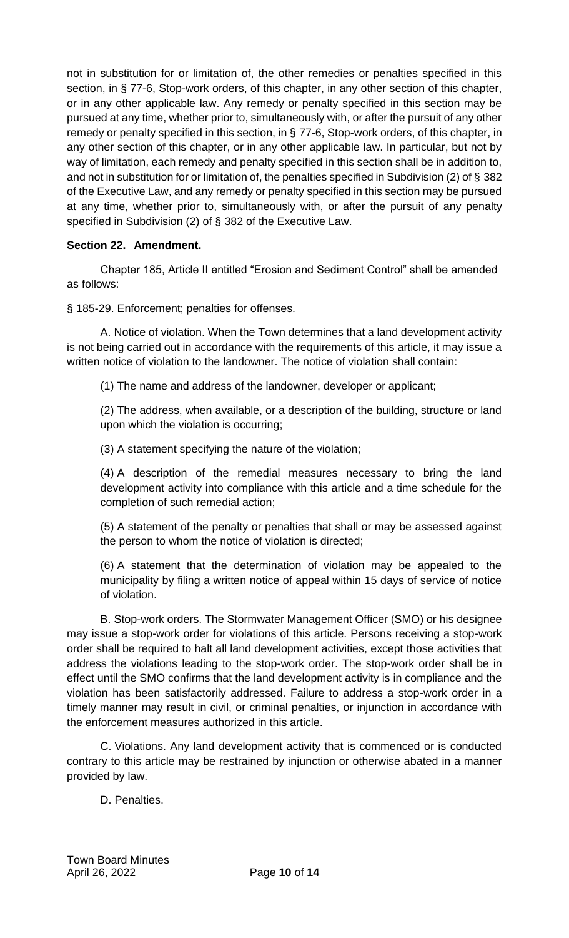not in substitution for or limitation of, the other remedies or penalties specified in this section, in § 77-6, Stop-work orders, of this chapter, in any other section of this chapter, or in any other applicable law. Any remedy or penalty specified in this section may be pursued at any time, whether prior to, simultaneously with, or after the pursuit of any other remedy or penalty specified in this section, in § 77-6, Stop-work orders, of this chapter, in any other section of this chapter, or in any other applicable law. In particular, but not by way of limitation, each remedy and penalty specified in this section shall be in addition to, and not in substitution for or limitation of, the penalties specified in Subdivision (2) of § 382 of the Executive Law, and any remedy or penalty specified in this section may be pursued at any time, whether prior to, simultaneously with, or after the pursuit of any penalty specified in Subdivision (2) of § 382 of the Executive Law.

# **Section 22. Amendment.**

Chapter 185, Article II entitled "Erosion and Sediment Control" shall be amended as follows:

§ 185-29. Enforcement; penalties for offenses.

A. Notice of violation. When the Town determines that a land development activity is not being carried out in accordance with the requirements of this article, it may issue a written notice of violation to the landowner. The notice of violation shall contain:

(1) The name and address of the landowner, developer or applicant;

(2) The address, when available, or a description of the building, structure or land upon which the violation is occurring;

(3) A statement specifying the nature of the violation;

(4) A description of the remedial measures necessary to bring the land development activity into compliance with this article and a time schedule for the completion of such remedial action;

(5) A statement of the penalty or penalties that shall or may be assessed against the person to whom the notice of violation is directed;

(6) A statement that the determination of violation may be appealed to the municipality by filing a written notice of appeal within 15 days of service of notice of violation.

B. Stop-work orders. The Stormwater Management Officer (SMO) or his designee may issue a stop-work order for violations of this article. Persons receiving a stop-work order shall be required to halt all land development activities, except those activities that address the violations leading to the stop-work order. The stop-work order shall be in effect until the SMO confirms that the land development activity is in compliance and the violation has been satisfactorily addressed. Failure to address a stop-work order in a timely manner may result in civil, or criminal penalties, or injunction in accordance with the enforcement measures authorized in this article.

C. Violations. Any land development activity that is commenced or is conducted contrary to this article may be restrained by injunction or otherwise abated in a manner provided by law.

D. Penalties.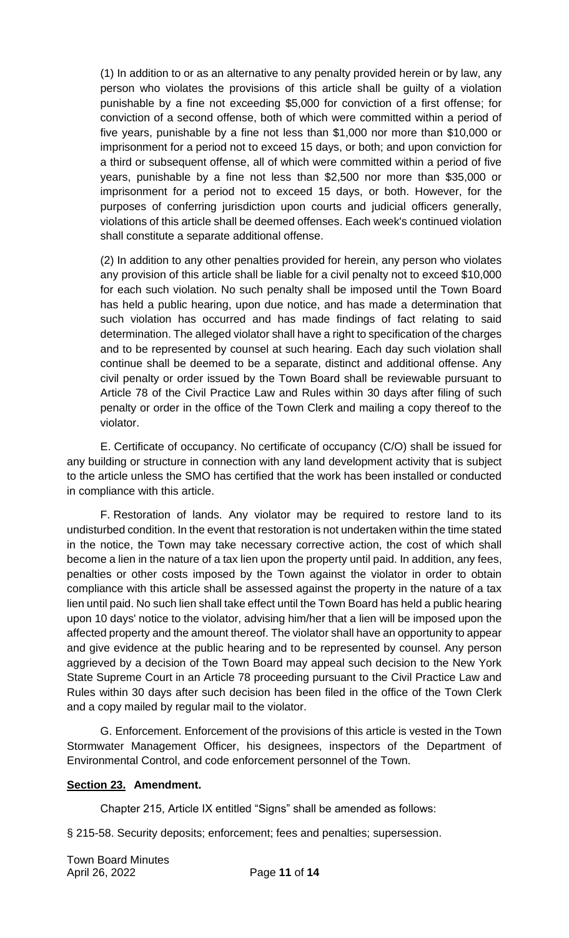(1) In addition to or as an alternative to any penalty provided herein or by law, any person who violates the provisions of this article shall be guilty of a violation punishable by a fine not exceeding \$5,000 for conviction of a first offense; for conviction of a second offense, both of which were committed within a period of five years, punishable by a fine not less than \$1,000 nor more than \$10,000 or imprisonment for a period not to exceed 15 days, or both; and upon conviction for a third or subsequent offense, all of which were committed within a period of five years, punishable by a fine not less than \$2,500 nor more than \$35,000 or imprisonment for a period not to exceed 15 days, or both. However, for the purposes of conferring jurisdiction upon courts and judicial officers generally, violations of this article shall be deemed offenses. Each week's continued violation shall constitute a separate additional offense.

(2) In addition to any other penalties provided for herein, any person who violates any provision of this article shall be liable for a civil penalty not to exceed \$10,000 for each such violation. No such penalty shall be imposed until the Town Board has held a public hearing, upon due notice, and has made a determination that such violation has occurred and has made findings of fact relating to said determination. The alleged violator shall have a right to specification of the charges and to be represented by counsel at such hearing. Each day such violation shall continue shall be deemed to be a separate, distinct and additional offense. Any civil penalty or order issued by the Town Board shall be reviewable pursuant to Article 78 of the Civil Practice Law and Rules within 30 days after filing of such penalty or order in the office of the Town Clerk and mailing a copy thereof to the violator.

E. Certificate of occupancy. No certificate of occupancy (C/O) shall be issued for any building or structure in connection with any land development activity that is subject to the article unless the SMO has certified that the work has been installed or conducted in compliance with this article.

F. Restoration of lands. Any violator may be required to restore land to its undisturbed condition. In the event that restoration is not undertaken within the time stated in the notice, the Town may take necessary corrective action, the cost of which shall become a lien in the nature of a tax lien upon the property until paid. In addition, any fees, penalties or other costs imposed by the Town against the violator in order to obtain compliance with this article shall be assessed against the property in the nature of a tax lien until paid. No such lien shall take effect until the Town Board has held a public hearing upon 10 days' notice to the violator, advising him/her that a lien will be imposed upon the affected property and the amount thereof. The violator shall have an opportunity to appear and give evidence at the public hearing and to be represented by counsel. Any person aggrieved by a decision of the Town Board may appeal such decision to the New York State Supreme Court in an Article 78 proceeding pursuant to the Civil Practice Law and Rules within 30 days after such decision has been filed in the office of the Town Clerk and a copy mailed by regular mail to the violator.

G. Enforcement. Enforcement of the provisions of this article is vested in the Town Stormwater Management Officer, his designees, inspectors of the Department of Environmental Control, and code enforcement personnel of the Town.

### **Section 23. Amendment.**

Chapter 215, Article IX entitled "Signs" shall be amended as follows:

§ 215-58. Security deposits; enforcement; fees and penalties; supersession.

Town Board Minutes April 26, 2022 Page **11** of **14**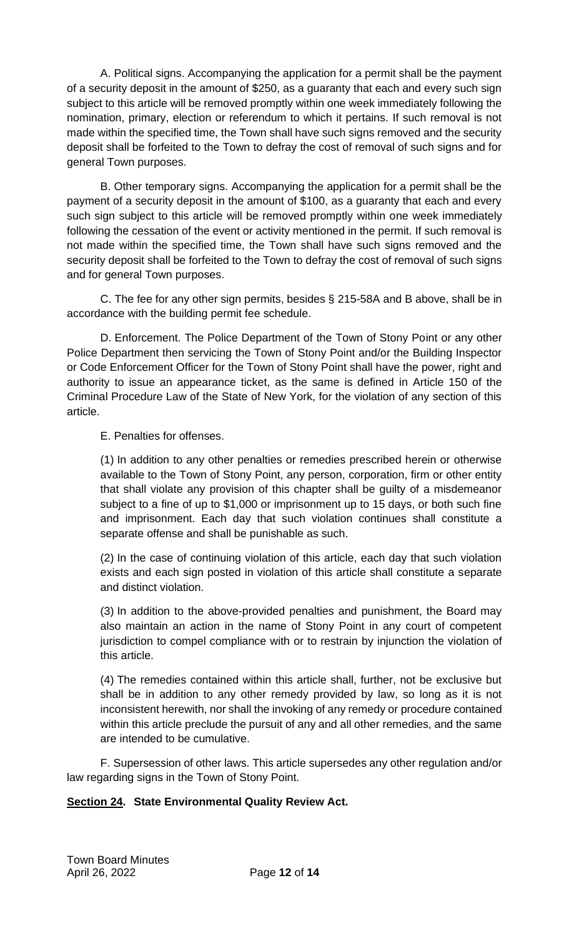A. Political signs. Accompanying the application for a permit shall be the payment of a security deposit in the amount of \$250, as a guaranty that each and every such sign subject to this article will be removed promptly within one week immediately following the nomination, primary, election or referendum to which it pertains. If such removal is not made within the specified time, the Town shall have such signs removed and the security deposit shall be forfeited to the Town to defray the cost of removal of such signs and for general Town purposes.

B. Other temporary signs. Accompanying the application for a permit shall be the payment of a security deposit in the amount of \$100, as a guaranty that each and every such sign subject to this article will be removed promptly within one week immediately following the cessation of the event or activity mentioned in the permit. If such removal is not made within the specified time, the Town shall have such signs removed and the security deposit shall be forfeited to the Town to defray the cost of removal of such signs and for general Town purposes.

C. The fee for any other sign permits, besides § 215-58A and B above, shall be in accordance with the building permit fee schedule.

D. Enforcement. The Police Department of the Town of Stony Point or any other Police Department then servicing the Town of Stony Point and/or the Building Inspector or Code Enforcement Officer for the Town of Stony Point shall have the power, right and authority to issue an appearance ticket, as the same is defined in Article 150 of the Criminal Procedure Law of the State of New York, for the violation of any section of this article.

E. Penalties for offenses.

(1) In addition to any other penalties or remedies prescribed herein or otherwise available to the Town of Stony Point, any person, corporation, firm or other entity that shall violate any provision of this chapter shall be guilty of a misdemeanor subject to a fine of up to \$1,000 or imprisonment up to 15 days, or both such fine and imprisonment. Each day that such violation continues shall constitute a separate offense and shall be punishable as such.

(2) In the case of continuing violation of this article, each day that such violation exists and each sign posted in violation of this article shall constitute a separate and distinct violation.

(3) In addition to the above-provided penalties and punishment, the Board may also maintain an action in the name of Stony Point in any court of competent jurisdiction to compel compliance with or to restrain by injunction the violation of this article.

(4) The remedies contained within this article shall, further, not be exclusive but shall be in addition to any other remedy provided by law, so long as it is not inconsistent herewith, nor shall the invoking of any remedy or procedure contained within this article preclude the pursuit of any and all other remedies, and the same are intended to be cumulative.

F. Supersession of other laws. This article supersedes any other regulation and/or law regarding signs in the Town of Stony Point.

## **Section 24. State Environmental Quality Review Act.**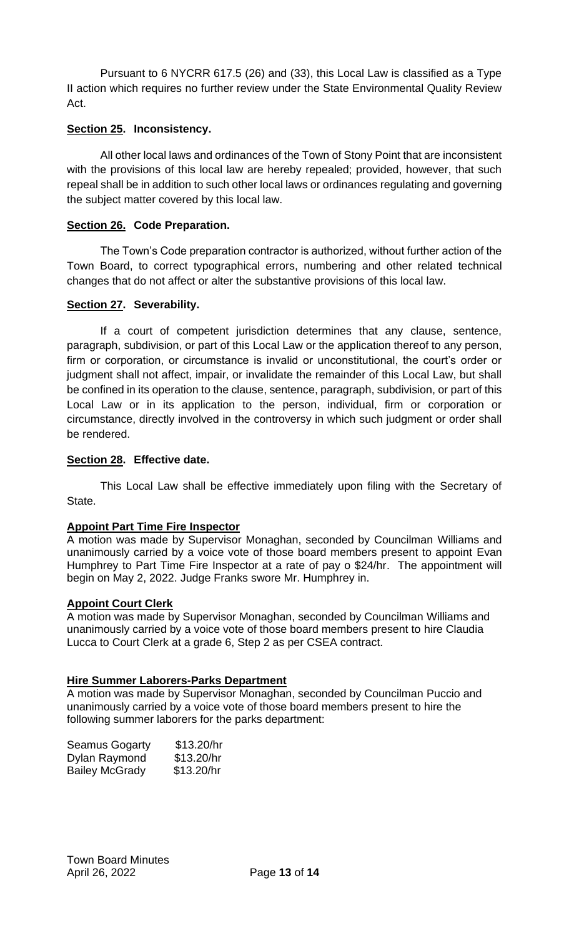Pursuant to 6 NYCRR 617.5 (26) and (33), this Local Law is classified as a Type II action which requires no further review under the State Environmental Quality Review Act.

## **Section 25. Inconsistency.**

All other local laws and ordinances of the Town of Stony Point that are inconsistent with the provisions of this local law are hereby repealed; provided, however, that such repeal shall be in addition to such other local laws or ordinances regulating and governing the subject matter covered by this local law.

## **Section 26. Code Preparation.**

The Town's Code preparation contractor is authorized, without further action of the Town Board, to correct typographical errors, numbering and other related technical changes that do not affect or alter the substantive provisions of this local law.

### **Section 27. Severability.**

If a court of competent jurisdiction determines that any clause, sentence, paragraph, subdivision, or part of this Local Law or the application thereof to any person, firm or corporation, or circumstance is invalid or unconstitutional, the court's order or judgment shall not affect, impair, or invalidate the remainder of this Local Law, but shall be confined in its operation to the clause, sentence, paragraph, subdivision, or part of this Local Law or in its application to the person, individual, firm or corporation or circumstance, directly involved in the controversy in which such judgment or order shall be rendered.

### **Section 28. Effective date.**

This Local Law shall be effective immediately upon filing with the Secretary of State.

### **Appoint Part Time Fire Inspector**

A motion was made by Supervisor Monaghan, seconded by Councilman Williams and unanimously carried by a voice vote of those board members present to appoint Evan Humphrey to Part Time Fire Inspector at a rate of pay o \$24/hr. The appointment will begin on May 2, 2022. Judge Franks swore Mr. Humphrey in.

### **Appoint Court Clerk**

A motion was made by Supervisor Monaghan, seconded by Councilman Williams and unanimously carried by a voice vote of those board members present to hire Claudia Lucca to Court Clerk at a grade 6, Step 2 as per CSEA contract.

### **Hire Summer Laborers-Parks Department**

A motion was made by Supervisor Monaghan, seconded by Councilman Puccio and unanimously carried by a voice vote of those board members present to hire the following summer laborers for the parks department:

| <b>Seamus Gogarty</b> | \$13.20/hr |
|-----------------------|------------|
| Dylan Raymond         | \$13.20/hr |
| <b>Bailey McGrady</b> | \$13.20/hr |